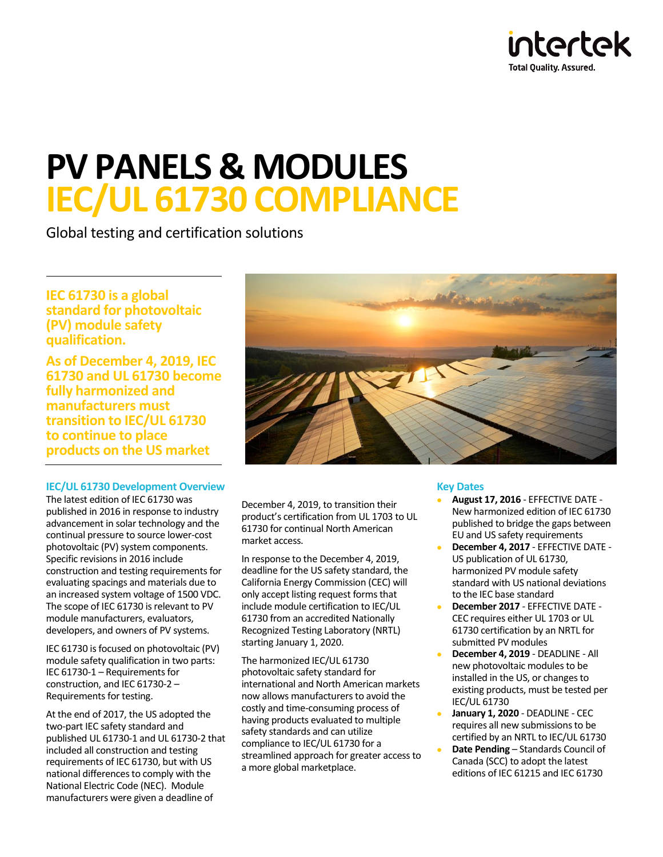

# **PV PANELS & MODULES IEC/UL 61730 COMPLIANCE**

Global testing and certification solutions

**IEC 61730 is a global standard for photovoltaic (PV) module safety qualification.** 

**As of December 4, 2019, IEC 61730 and UL 61730 become fully harmonized and manufacturers must transition to IEC/UL 61730 to continue to place products on the US market**

# **IEC/UL 61730 Development Overview**

The latest edition of IEC 61730 was published in 2016 in response to industry advancement in solar technology and the continual pressure to source lower-cost photovoltaic (PV) system components. Specific revisions in 2016 include construction and testing requirements for evaluating spacings and materials due to an increased system voltage of 1500 VDC. The scope of IEC 61730 is relevant to PV module manufacturers, evaluators, developers, and owners of PV systems.

IEC 61730 is focused on photovoltaic (PV) module safety qualification in two parts: IEC 61730-1 – Requirements for construction, and IEC 61730-2 – Requirements for testing.

At the end of 2017, the US adopted the two-part IEC safety standard and published UL 61730-1 and UL 61730-2 that included all construction and testing requirements of IEC 61730, but with US national differences to comply with the National Electric Code (NEC). Module manufacturers were given a deadline of



December 4, 2019, to transition their product's certification from UL 1703 to UL 61730 for continual North American market access.

In response to the December 4, 2019, deadline for the US safety standard, the California Energy Commission (CEC) will only accept listing request forms that include module certification to IEC/UL 61730 from an accredited Nationally Recognized Testing Laboratory (NRTL) starting January 1, 2020.

The harmonized IEC/UL 61730 photovoltaic safety standard for international and North American markets now allows manufacturers to avoid the costly and time-consuming process of having products evaluated to multiple safety standards and can utilize compliance to IEC/UL 61730 for a streamlined approach for greater access to a more global marketplace.

## **Key Dates**

- **August 17, 2016** EFFECTIVE DATE New harmonized edition of IEC 61730 published to bridge the gaps between EU and US safety requirements
- **December 4, 2017** EFFECTIVE DATE US publication of UL 61730, harmonized PV module safety standard with US national deviations to the IEC base standard
- **December 2017** EFFECTIVE DATE CEC requires either UL 1703 or UL 61730 certification by an NRTL for submitted PV modules
- **December 4, 2019** DEADLINE All new photovoltaic modules to be installed in the US, or changes to existing products, must be tested per IEC/UL 61730
- **January 1, 2020** DEADLINE CEC requires all new submissions to be certified by an NRTL to IEC/UL 61730
- **Date Pending** Standards Council of Canada (SCC) to adopt the latest editions of IEC 61215 and IEC 61730